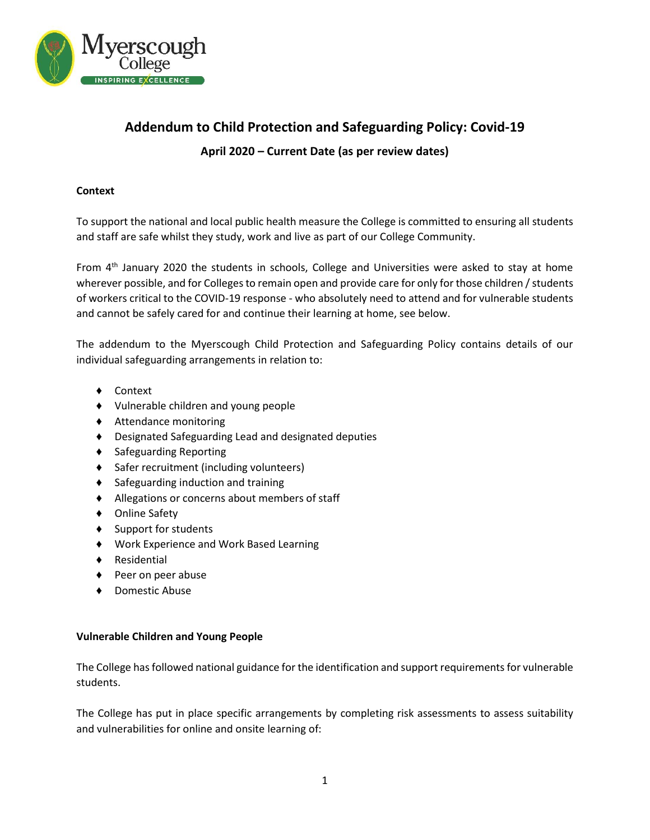

# **Addendum to Child Protection and Safeguarding Policy: Covid-19 April 2020 – Current Date (as per review dates)**

## **Context**

To support the national and local public health measure the College is committed to ensuring all students and staff are safe whilst they study, work and live as part of our College Community.

From 4<sup>th</sup> January 2020 the students in schools, College and Universities were asked to stay at home wherever possible, and for Colleges to remain open and provide care for only for those children / students of workers critical to the COVID-19 response - who absolutely need to attend and for vulnerable students and cannot be safely cared for and continue their learning at home, see below.

The addendum to the Myerscough Child Protection and Safeguarding Policy contains details of our individual safeguarding arrangements in relation to:

- ♦ Context
- ♦ Vulnerable children and young people
- ♦ Attendance monitoring
- ♦ Designated Safeguarding Lead and designated deputies
- ♦ Safeguarding Reporting
- ♦ Safer recruitment (including volunteers)
- ♦ Safeguarding induction and training
- ♦ Allegations or concerns about members of staff
- ♦ Online Safety
- ♦ Support for students
- ♦ Work Experience and Work Based Learning
- ♦ Residential
- ♦ Peer on peer abuse
- ♦ Domestic Abuse

## **Vulnerable Children and Young People**

The College has followed national guidance for the identification and support requirements for vulnerable students.

The College has put in place specific arrangements by completing risk assessments to assess suitability and vulnerabilities for online and onsite learning of: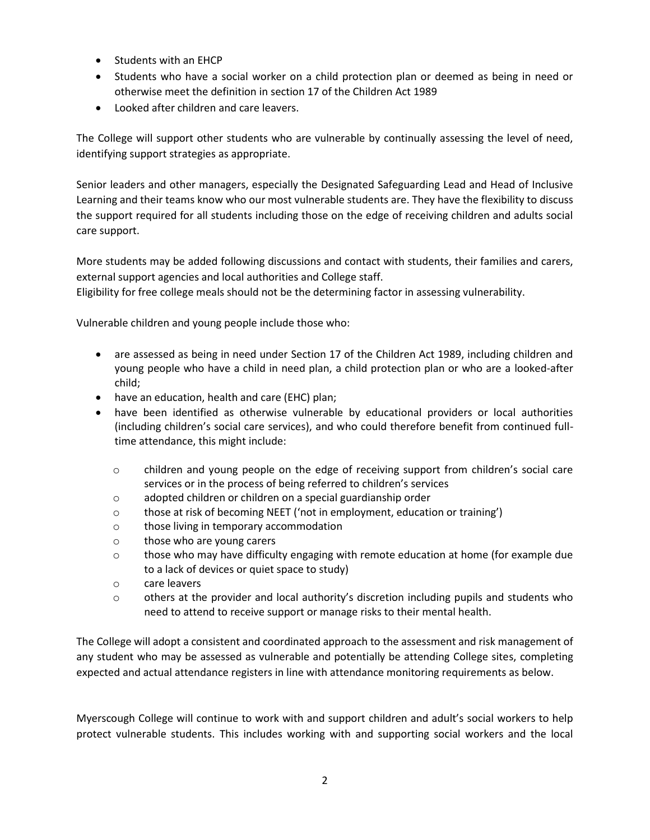- Students with an EHCP
- Students who have a social worker on a child protection plan or deemed as being in need or otherwise meet the definition in section 17 of the Children Act 1989
- Looked after children and care leavers.

The College will support other students who are vulnerable by continually assessing the level of need, identifying support strategies as appropriate.

Senior leaders and other managers, especially the Designated Safeguarding Lead and Head of Inclusive Learning and their teams know who our most vulnerable students are. They have the flexibility to discuss the support required for all students including those on the edge of receiving children and adults social care support.

More students may be added following discussions and contact with students, their families and carers, external support agencies and local authorities and College staff.

Eligibility for free college meals should not be the determining factor in assessing vulnerability.

Vulnerable children and young people include those who:

- are assessed as being in need under Section 17 of the Children Act 1989, including children and young people who have a child in need plan, a child protection plan or who are a looked-after child;
- have an education, health and care (EHC) plan;
- have been identified as otherwise vulnerable by educational providers or local authorities (including children's social care services), and who could therefore benefit from continued fulltime attendance, this might include:
	- o children and young people on the edge of receiving support from children's social care services or in the process of being referred to children's services
	- o adopted children or children on a special guardianship order
	- o those at risk of becoming NEET ('not in employment, education or training')
	- o those living in temporary accommodation
	- o those who are young carers
	- o those who may have difficulty engaging with remote education at home (for example due to a lack of devices or quiet space to study)
	- o care leavers
	- $\circ$  others at the provider and local authority's discretion including pupils and students who need to attend to receive support or manage risks to their mental health.

The College will adopt a consistent and coordinated approach to the assessment and risk management of any student who may be assessed as vulnerable and potentially be attending College sites, completing expected and actual attendance registers in line with attendance monitoring requirements as below.

Myerscough College will continue to work with and support children and adult's social workers to help protect vulnerable students. This includes working with and supporting social workers and the local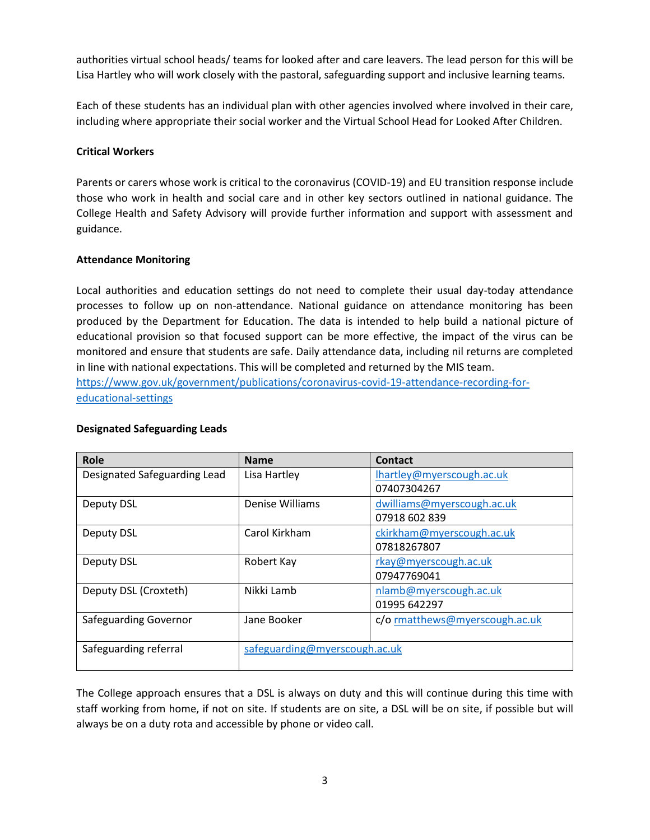authorities virtual school heads/ teams for looked after and care leavers. The lead person for this will be Lisa Hartley who will work closely with the pastoral, safeguarding support and inclusive learning teams.

Each of these students has an individual plan with other agencies involved where involved in their care, including where appropriate their social worker and the Virtual School Head for Looked After Children.

## **Critical Workers**

Parents or carers whose work is critical to the coronavirus (COVID-19) and EU transition response include those who work in health and social care and in other key sectors outlined in national guidance. The College Health and Safety Advisory will provide further information and support with assessment and guidance.

# **Attendance Monitoring**

Local authorities and education settings do not need to complete their usual day-today attendance processes to follow up on non-attendance. National guidance on attendance monitoring has been produced by the Department for Education. The data is intended to help build a national picture of educational provision so that focused support can be more effective, the impact of the virus can be monitored and ensure that students are safe. Daily attendance data, including nil returns are completed in line with national expectations. This will be completed and returned by the MIS team. [https://www.gov.uk/government/publications/coronavirus-covid-19-attendance-recording-for](https://www.gov.uk/government/publications/coronavirus-covid-19-attendance-recording-for-educational-settings)[educational-settings](https://www.gov.uk/government/publications/coronavirus-covid-19-attendance-recording-for-educational-settings)

| Role                         | <b>Name</b>                   | Contact                        |
|------------------------------|-------------------------------|--------------------------------|
| Designated Safeguarding Lead | Lisa Hartley                  | lhartley@myerscough.ac.uk      |
|                              |                               | 07407304267                    |
| <b>Deputy DSL</b>            | Denise Williams               | dwilliams@myerscough.ac.uk     |
|                              |                               | 07918 602 839                  |
| Deputy DSL                   | Carol Kirkham                 | ckirkham@myerscough.ac.uk      |
|                              |                               | 07818267807                    |
| Deputy DSL                   | Robert Kay                    | rkay@myerscough.ac.uk          |
|                              |                               | 07947769041                    |
| Deputy DSL (Croxteth)        | Nikki Lamb                    | nlamb@myerscough.ac.uk         |
|                              |                               | 01995 642297                   |
| Safeguarding Governor        | Jane Booker                   | c/o rmatthews@myerscough.ac.uk |
|                              |                               |                                |
| Safeguarding referral        | safeguarding@myerscough.ac.uk |                                |
|                              |                               |                                |

# **Designated Safeguarding Leads**

The College approach ensures that a DSL is always on duty and this will continue during this time with staff working from home, if not on site. If students are on site, a DSL will be on site, if possible but will always be on a duty rota and accessible by phone or video call.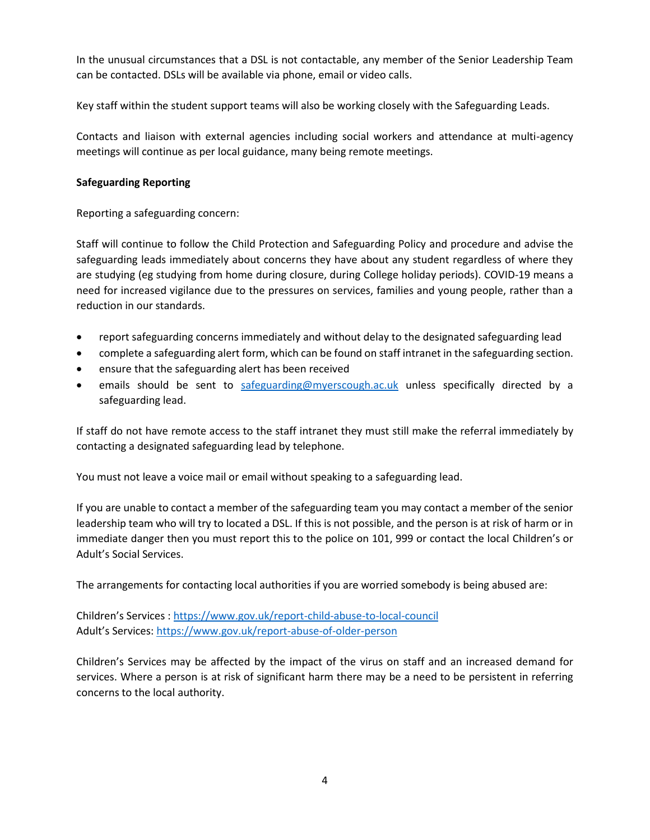In the unusual circumstances that a DSL is not contactable, any member of the Senior Leadership Team can be contacted. DSLs will be available via phone, email or video calls.

Key staff within the student support teams will also be working closely with the Safeguarding Leads.

Contacts and liaison with external agencies including social workers and attendance at multi-agency meetings will continue as per local guidance, many being remote meetings.

## **Safeguarding Reporting**

Reporting a safeguarding concern:

Staff will continue to follow the Child Protection and Safeguarding Policy and procedure and advise the safeguarding leads immediately about concerns they have about any student regardless of where they are studying (eg studying from home during closure, during College holiday periods). COVID-19 means a need for increased vigilance due to the pressures on services, families and young people, rather than a reduction in our standards.

- report safeguarding concerns immediately and without delay to the designated safeguarding lead
- complete a safeguarding alert form, which can be found on staff intranet in the safeguarding section.
- ensure that the safeguarding alert has been received
- emails should be sent to [safeguarding@myerscough.ac.uk](mailto:safeguarding@myerscough.ac.uk) unless specifically directed by a safeguarding lead.

If staff do not have remote access to the staff intranet they must still make the referral immediately by contacting a designated safeguarding lead by telephone.

You must not leave a voice mail or email without speaking to a safeguarding lead.

If you are unable to contact a member of the safeguarding team you may contact a member of the senior leadership team who will try to located a DSL. If this is not possible, and the person is at risk of harm or in immediate danger then you must report this to the police on 101, 999 or contact the local Children's or Adult's Social Services.

The arrangements for contacting local authorities if you are worried somebody is being abused are:

Children's Services : <https://www.gov.uk/report-child-abuse-to-local-council> Adult's Services:<https://www.gov.uk/report-abuse-of-older-person>

Children's Services may be affected by the impact of the virus on staff and an increased demand for services. Where a person is at risk of significant harm there may be a need to be persistent in referring concerns to the local authority.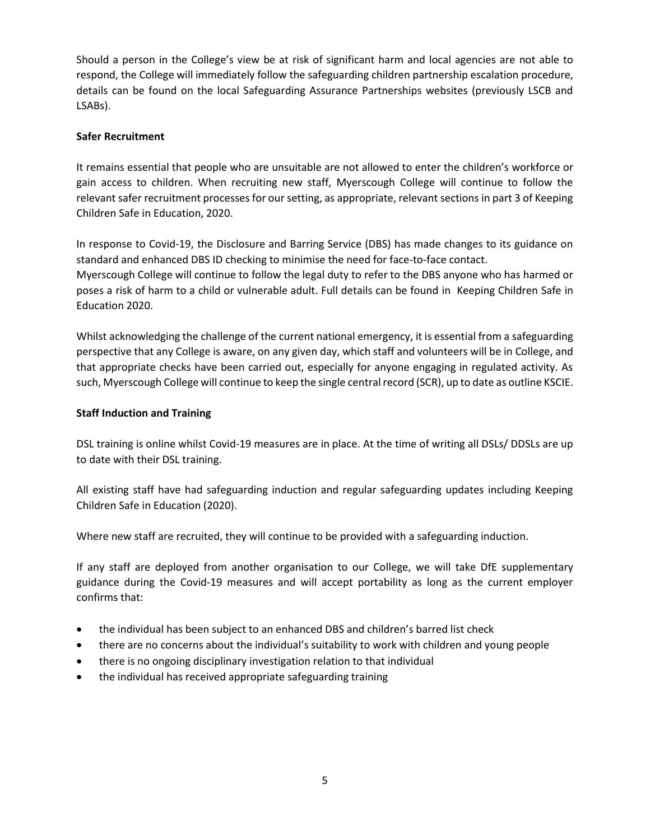Should a person in the College's view be at risk of significant harm and local agencies are not able to respond, the College will immediately follow the safeguarding children partnership escalation procedure, details can be found on the local Safeguarding Assurance Partnerships websites (previously LSCB and LSABs).

## **Safer Recruitment**

It remains essential that people who are unsuitable are not allowed to enter the children's workforce or gain access to children. When recruiting new staff, Myerscough College will continue to follow the relevant safer recruitment processes for our setting, as appropriate, relevant sections in part 3 of Keeping Children Safe in Education, 2020.

In response to Covid-19, the Disclosure and Barring Service (DBS) has made changes to its guidance on standard and enhanced DBS ID checking to minimise the need for face-to-face contact. Myerscough College will continue to follow the legal duty to refer to the DBS anyone who has harmed or poses a risk of harm to a child or vulnerable adult. Full details can be found in Keeping Children Safe in Education 2020.

Whilst acknowledging the challenge of the current national emergency, it is essential from a safeguarding perspective that any College is aware, on any given day, which staff and volunteers will be in College, and that appropriate checks have been carried out, especially for anyone engaging in regulated activity. As such, Myerscough College will continue to keep the single central record (SCR), up to date as outline KSCIE.

# **Staff Induction and Training**

DSL training is online whilst Covid-19 measures are in place. At the time of writing all DSLs/ DDSLs are up to date with their DSL training.

All existing staff have had safeguarding induction and regular safeguarding updates including Keeping Children Safe in Education (2020).

Where new staff are recruited, they will continue to be provided with a safeguarding induction.

If any staff are deployed from another organisation to our College, we will take DfE supplementary guidance during the Covid-19 measures and will accept portability as long as the current employer confirms that:

- the individual has been subject to an enhanced DBS and children's barred list check
- there are no concerns about the individual's suitability to work with children and young people
- there is no ongoing disciplinary investigation relation to that individual
- the individual has received appropriate safeguarding training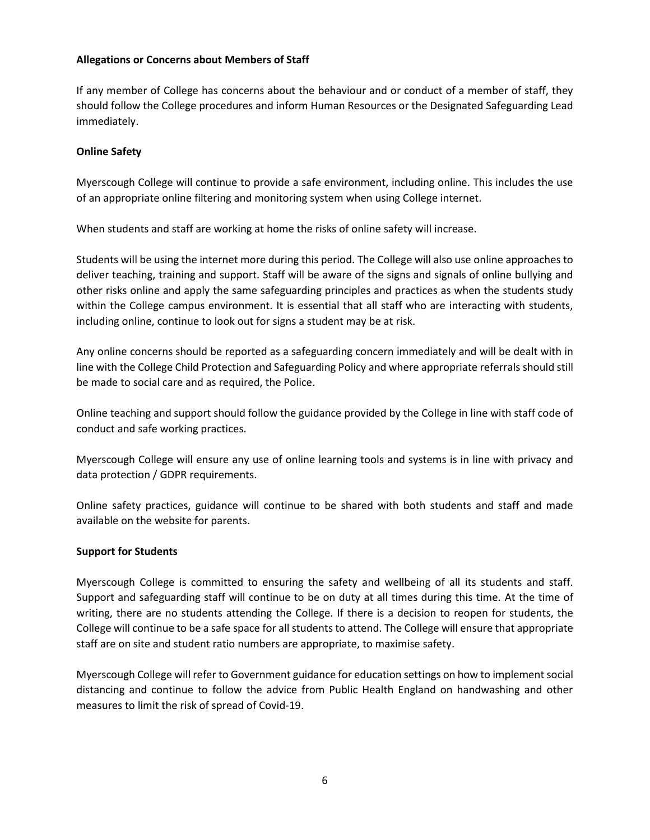#### **Allegations or Concerns about Members of Staff**

If any member of College has concerns about the behaviour and or conduct of a member of staff, they should follow the College procedures and inform Human Resources or the Designated Safeguarding Lead immediately.

## **Online Safety**

Myerscough College will continue to provide a safe environment, including online. This includes the use of an appropriate online filtering and monitoring system when using College internet.

When students and staff are working at home the risks of online safety will increase.

Students will be using the internet more during this period. The College will also use online approaches to deliver teaching, training and support. Staff will be aware of the signs and signals of online bullying and other risks online and apply the same safeguarding principles and practices as when the students study within the College campus environment. It is essential that all staff who are interacting with students, including online, continue to look out for signs a student may be at risk.

Any online concerns should be reported as a safeguarding concern immediately and will be dealt with in line with the College Child Protection and Safeguarding Policy and where appropriate referrals should still be made to social care and as required, the Police.

Online teaching and support should follow the guidance provided by the College in line with staff code of conduct and safe working practices.

Myerscough College will ensure any use of online learning tools and systems is in line with privacy and data protection / GDPR requirements.

Online safety practices, guidance will continue to be shared with both students and staff and made available on the website for parents.

## **Support for Students**

Myerscough College is committed to ensuring the safety and wellbeing of all its students and staff. Support and safeguarding staff will continue to be on duty at all times during this time. At the time of writing, there are no students attending the College. If there is a decision to reopen for students, the College will continue to be a safe space for all students to attend. The College will ensure that appropriate staff are on site and student ratio numbers are appropriate, to maximise safety.

Myerscough College will refer to Government guidance for education settings on how to implement social distancing and continue to follow the advice from Public Health England on handwashing and other measures to limit the risk of spread of Covid-19.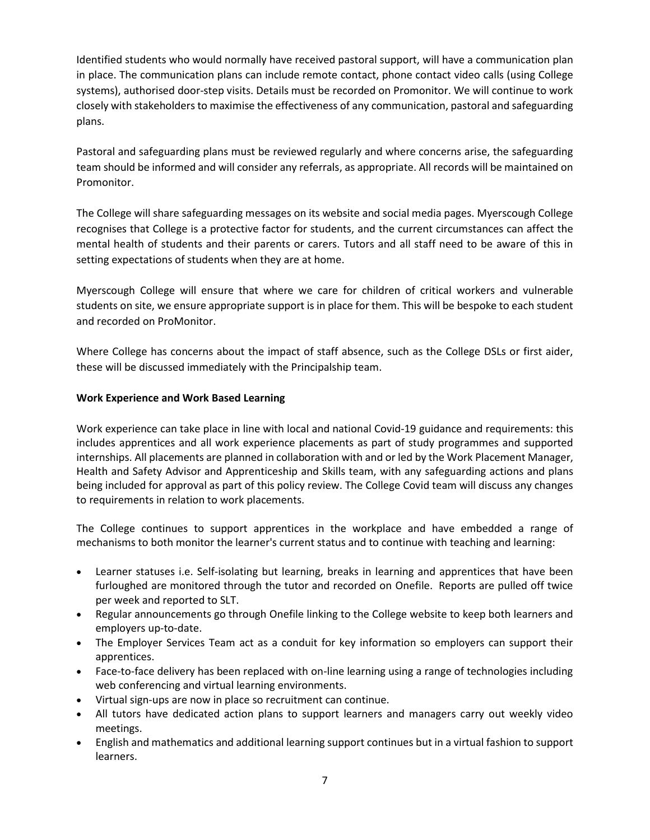Identified students who would normally have received pastoral support, will have a communication plan in place. The communication plans can include remote contact, phone contact video calls (using College systems), authorised door-step visits. Details must be recorded on Promonitor. We will continue to work closely with stakeholders to maximise the effectiveness of any communication, pastoral and safeguarding plans.

Pastoral and safeguarding plans must be reviewed regularly and where concerns arise, the safeguarding team should be informed and will consider any referrals, as appropriate. All records will be maintained on Promonitor.

The College will share safeguarding messages on its website and social media pages. Myerscough College recognises that College is a protective factor for students, and the current circumstances can affect the mental health of students and their parents or carers. Tutors and all staff need to be aware of this in setting expectations of students when they are at home.

Myerscough College will ensure that where we care for children of critical workers and vulnerable students on site, we ensure appropriate support is in place for them. This will be bespoke to each student and recorded on ProMonitor.

Where College has concerns about the impact of staff absence, such as the College DSLs or first aider, these will be discussed immediately with the Principalship team.

# **Work Experience and Work Based Learning**

Work experience can take place in line with local and national Covid-19 guidance and requirements: this includes apprentices and all work experience placements as part of study programmes and supported internships. All placements are planned in collaboration with and or led by the Work Placement Manager, Health and Safety Advisor and Apprenticeship and Skills team, with any safeguarding actions and plans being included for approval as part of this policy review. The College Covid team will discuss any changes to requirements in relation to work placements.

The College continues to support apprentices in the workplace and have embedded a range of mechanisms to both monitor the learner's current status and to continue with teaching and learning:

- Learner statuses i.e. Self-isolating but learning, breaks in learning and apprentices that have been furloughed are monitored through the tutor and recorded on Onefile. Reports are pulled off twice per week and reported to SLT.
- Regular announcements go through Onefile linking to the College website to keep both learners and employers up-to-date.
- The Employer Services Team act as a conduit for key information so employers can support their apprentices.
- Face-to-face delivery has been replaced with on-line learning using a range of technologies including web conferencing and virtual learning environments.
- Virtual sign-ups are now in place so recruitment can continue.
- All tutors have dedicated action plans to support learners and managers carry out weekly video meetings.
- English and mathematics and additional learning support continues but in a virtual fashion to support learners.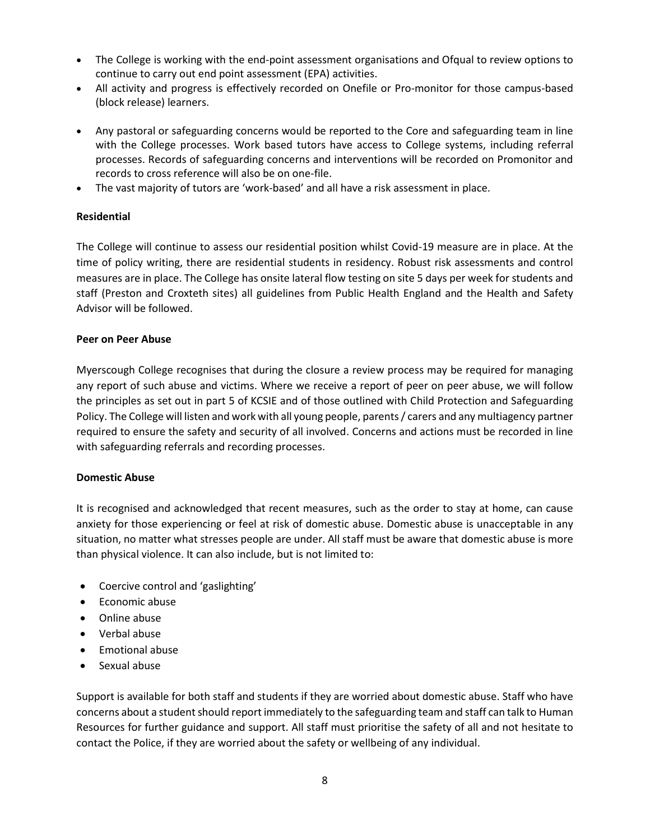- The College is working with the end-point assessment organisations and Ofqual to review options to continue to carry out end point assessment (EPA) activities.
- All activity and progress is effectively recorded on Onefile or Pro-monitor for those campus-based (block release) learners.
- Any pastoral or safeguarding concerns would be reported to the Core and safeguarding team in line with the College processes. Work based tutors have access to College systems, including referral processes. Records of safeguarding concerns and interventions will be recorded on Promonitor and records to cross reference will also be on one-file.
- The vast majority of tutors are 'work-based' and all have a risk assessment in place.

# **Residential**

The College will continue to assess our residential position whilst Covid-19 measure are in place. At the time of policy writing, there are residential students in residency. Robust risk assessments and control measures are in place. The College has onsite lateral flow testing on site 5 days per week for students and staff (Preston and Croxteth sites) all guidelines from Public Health England and the Health and Safety Advisor will be followed.

## **Peer on Peer Abuse**

Myerscough College recognises that during the closure a review process may be required for managing any report of such abuse and victims. Where we receive a report of peer on peer abuse, we will follow the principles as set out in part 5 of KCSIE and of those outlined with Child Protection and Safeguarding Policy. The College will listen and work with all young people, parents / carers and any multiagency partner required to ensure the safety and security of all involved. Concerns and actions must be recorded in line with safeguarding referrals and recording processes.

## **Domestic Abuse**

It is recognised and acknowledged that recent measures, such as the order to stay at home, can cause anxiety for those experiencing or feel at risk of domestic abuse. Domestic abuse is unacceptable in any situation, no matter what stresses people are under. All staff must be aware that domestic abuse is more than physical violence. It can also include, but is not limited to:

- Coercive control and 'gaslighting'
- Economic abuse
- Online abuse
- Verbal abuse
- Emotional abuse
- Sexual abuse

Support is available for both staff and students if they are worried about domestic abuse. Staff who have concerns about a student should report immediately to the safeguarding team and staff can talk to Human Resources for further guidance and support. All staff must prioritise the safety of all and not hesitate to contact the Police, if they are worried about the safety or wellbeing of any individual.